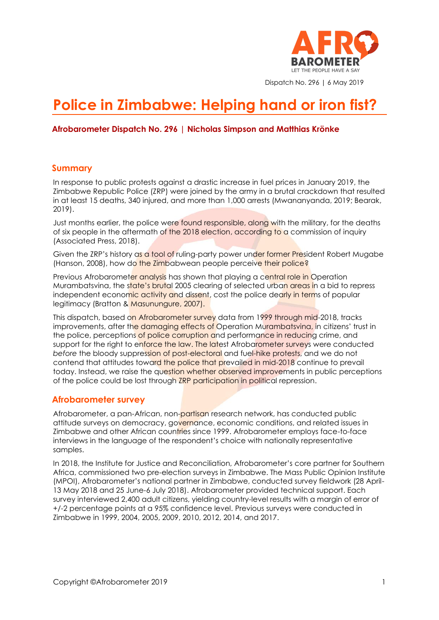

Dispatch No. 296 | 6 May 2019

# **Police in Zimbabwe: Helping hand or iron fist?**

#### **Afrobarometer Dispatch No. 296 | Nicholas Simpson and Matthias Krönke**

#### **Summary**

In response to public protests against a drastic increase in fuel prices in January 2019, the Zimbabwe Republic Police (ZRP) were joined by the army in a brutal crackdown that resulted in at least 15 deaths, 340 injured, and more than 1,000 arrests (Mwananyanda, 2019; Bearak, 2019).

Just months earlier, the police were found responsible, along with the military, for the deaths of six people in the aftermath of the 2018 election, according to a commission of inquiry (Associated Press, 2018).

Given the ZRP's history as a tool of ruling-party power under former President Robert Mugabe (Hanson, 2008), how do the Zimbabwean people perceive their police?

Previous Afrobarometer analysis has shown that playing a central role in Operation Murambatsvina, the state's brutal 2005 clearing of selected urban areas in a bid to repress independent economic activity and dissent, cost the police dearly in terms of popular legitimacy (Bratton & Masunungure, 2007).

This dispatch, based on Afrobarometer survey data from 1999 through mid-2018, tracks improvements, after the damaging effects of Operation Murambatsvina, in citizens' trust in the police, perceptions of police corruption and performance in reducing crime, and support for the right to enforce the law. The latest Afrobarometer surveys were conducted *before* the bloody suppression of post-electoral and fuel-hike protests, and we do not contend that attitudes toward the police that prevailed in mid-2018 continue to prevail today. Instead, we raise the question whether observed improvements in public perceptions of the police could be lost through ZRP participation in political repression.

#### **Afrobarometer survey**

Afrobarometer, a pan-African, non-partisan research network, has conducted public attitude surveys on democracy, governance, economic conditions, and related issues in Zimbabwe and other African countries since 1999. Afrobarometer employs face-to-face interviews in the language of the respondent's choice with nationally representative samples.

In 2018, the Institute for Justice and Reconciliation, Afrobarometer's core partner for Southern Africa, commissioned two pre-election surveys in Zimbabwe. The Mass Public Opinion Institute (MPOI), Afrobarometer's national partner in Zimbabwe, conducted survey fieldwork (28 April-13 May 2018 and 25 June-6 July 2018). Afrobarometer provided technical support. Each survey interviewed 2,400 adult citizens, yielding country-level results with a margin of error of +/-2 percentage points at a 95% confidence level. Previous surveys were conducted in Zimbabwe in 1999, 2004, 2005, 2009, 2010, 2012, 2014, and 2017.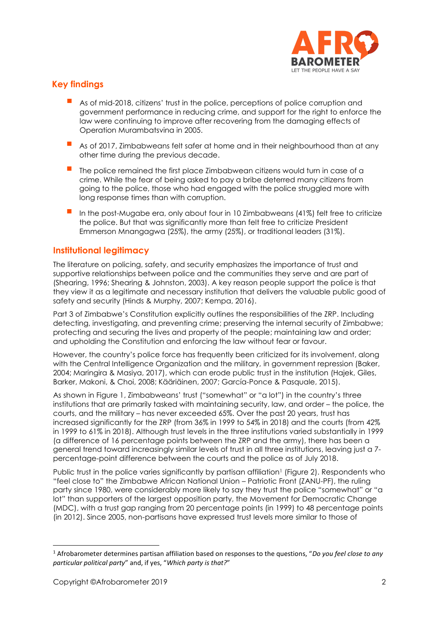

## **Key findings**

- As of mid-2018, citizens' trust in the police, perceptions of police corruption and government performance in reducing crime, and support for the right to enforce the law were continuing to improve after recovering from the damaging effects of Operation Murambatsvina in 2005.
- As of 2017, Zimbabweans felt safer at home and in their neighbourhood than at any other time during the previous decade.
- The police remained the first place Zimbabwean citizens would turn in case of a crime. While the fear of being asked to pay a bribe deterred many citizens from going to the police, those who had engaged with the police struggled more with long response times than with corruption.
- In the post-Mugabe era, only about four in 10 Zimbabweans (41%) felt free to criticize the police. But that was significantly more than felt free to criticize President Emmerson Mnangagwa (25%), the army (25%), or traditional leaders (31%).

### **Institutional legitimacy**

The literature on policing, safety, and security emphasizes the importance of trust and supportive relationships between police and the communities they serve and are part of (Shearing, 1996; Shearing & Johnston, 2003). A key reason people support the police is that they view it as a legitimate and necessary institution that delivers the valuable public good of safety and security (Hinds & Murphy, 2007; Kempa, 2016).

Part 3 of Zimbabwe's Constitution explicitly outlines the responsibilities of the ZRP. Including detecting, investigating, and preventing crime; preserving the internal security of Zimbabwe; protecting and securing the lives and property of the people; maintaining law and order; and upholding the Constitution and enforcing the law without fear or favour.

However, the country's police force has frequently been criticized for its involvement, along with the Central Intelligence Organization and the military, in government repression (Baker, 2004; Maringira & Masiya, 2017), which can erode public trust in the institution (Hajek, Giles, Barker, Makoni, & Choi, 2008; Kääriäinen, 2007; García-Ponce & Pasquale, 2015).

As shown in Figure 1, Zimbabweans' trust ("somewhat" or "a lot") in the country's three institutions that are primarily tasked with maintaining security, law, and order – the police, the courts, and the military – has never exceeded 65%. Over the past 20 years, trust has increased significantly for the ZRP (from 36% in 1999 to 54% in 2018) and the courts (from 42% in 1999 to 61% in 2018). Although trust levels in the three institutions varied substantially in 1999 (a difference of 16 percentage points between the ZRP and the army), there has been a general trend toward increasingly similar levels of trust in all three institutions, leaving just a 7 percentage-point difference between the courts and the police as of July 2018.

Public trust in the police varies significantly by partisan affiliation<sup>1</sup> (Figure 2). Respondents who "feel close to" the Zimbabwe African National Union – Patriotic Front (ZANU-PF), the ruling party since 1980, were considerably more likely to say they trust the police "somewhat" or "a lot" than supporters of the largest opposition party, the Movement for Democratic Change (MDC), with a trust gap ranging from 20 percentage points (in 1999) to 48 percentage points (in 2012). Since 2005, non-partisans have expressed trust levels more similar to those of

<sup>1</sup> Afrobarometer determines partisan affiliation based on responses to the questions, "*Do you feel close to any particular political party*" and, if yes, "*Which party is that?*"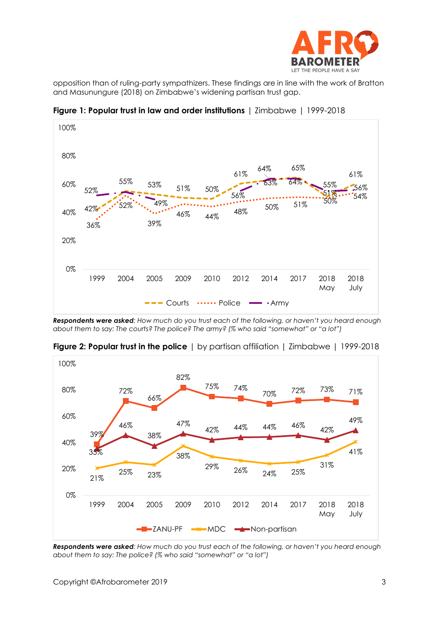

opposition than of ruling-party sympathizers. These findings are in line with the work of Bratton and Masunungure (2018) on Zimbabwe's widening partisan trust gap.



**Figure 1: Popular trust in law and order institutions** | Zimbabwe | 1999-2018

*Respondents were asked: How much do you trust each of the following, or haven't you heard enough about them to say: The courts? The police? The army? (% who said "somewhat" or "a lot")*



**Figure 2: Popular trust in the police** I by partisan affiliation I Zimbabwe I 1999-2018

*Respondents were asked: How much do you trust each of the following, or haven't you heard enough about them to say: The police? (% who said "somewhat" or "a lot")*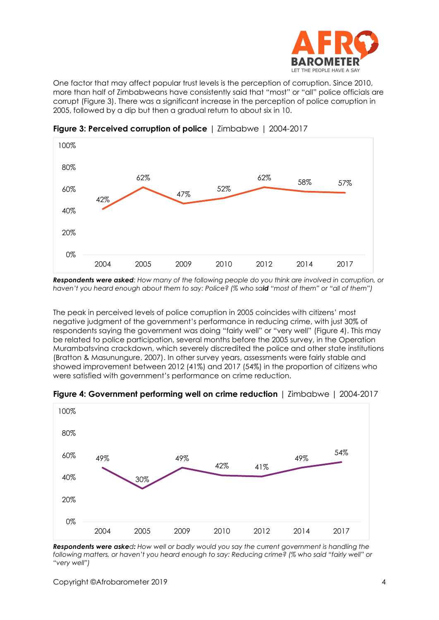

One factor that may affect popular trust levels is the perception of corruption. Since 2010, more than half of Zimbabweans have consistently said that "most" or "all" police officials are corrupt (Figure 3). There was a significant increase in the perception of police corruption in 2005, followed by a dip but then a gradual return to about six in 10.



**Figure 3: Perceived corruption of police** | Zimbabwe | 2004-2017

*Respondents were asked: How many of the following people do you think are involved in corruption, or haven't you heard enough about them to say: Police? (% who said "most of them" or "all of them")*

The peak in perceived levels of police corruption in 2005 coincides with citizens' most negative judgment of the government's performance in reducing crime, with just 30% of respondents saying the government was doing "fairly well" or "very well" (Figure 4). This may be related to police participation, several months before the 2005 survey, in the Operation Murambatsvina crackdown, which severely discredited the police and other state institutions (Bratton & Masunungure, 2007). In other survey years, assessments were fairly stable and showed improvement between 2012 (41%) and 2017 (54%) in the proportion of citizens who were satisfied with government's performance on crime reduction.



**Figure 4: Government performing well on crime reduction** | Zimbabwe | 2004-2017

*Respondents were asked: How well or badly would you say the current government is handling the following matters, or haven't you heard enough to say: Reducing crime? (% who said "fairly well" or "very well")*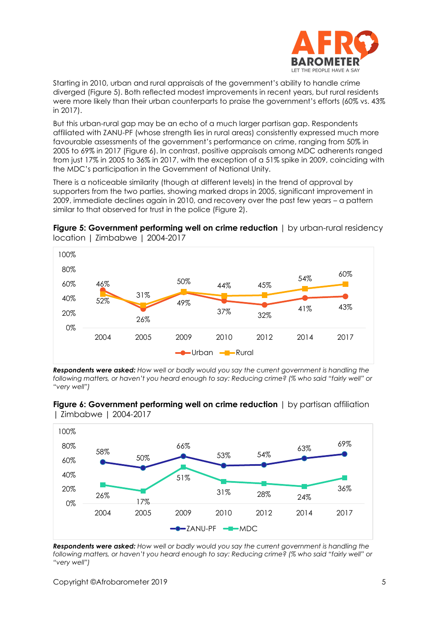

Starting in 2010, urban and rural appraisals of the government's ability to handle crime diverged (Figure 5). Both reflected modest improvements in recent years, but rural residents were more likely than their urban counterparts to praise the government's efforts (60% vs. 43% in 2017).

But this urban-rural gap may be an echo of a much larger partisan gap. Respondents affiliated with ZANU-PF (whose strength lies in rural areas) consistently expressed much more favourable assessments of the government's performance on crime, ranging from 50% in 2005 to 69% in 2017 (Figure 6). In contrast, positive appraisals among MDC adherents ranged from just 17% in 2005 to 36% in 2017, with the exception of a 51% spike in 2009, coinciding with the MDC's participation in the Government of National Unity.

There is a noticeable similarity (though at different levels) in the trend of approval by supporters from the two parties, showing marked drops in 2005, significant improvement in 2009, immediate declines again in 2010, and recovery over the past few years – a pattern similar to that observed for trust in the police (Figure 2).





*Respondents were asked: How well or badly would you say the current government is handling the following matters, or haven't you heard enough to say: Reducing crime? (% who said "fairly well" or "very well")*



**Figure 6: Government performing well on crime reduction** | by partisan affiliation | Zimbabwe | 2004-2017

*Respondents were asked: How well or badly would you say the current government is handling the following matters, or haven't you heard enough to say: Reducing crime? (% who said "fairly well" or "very well")*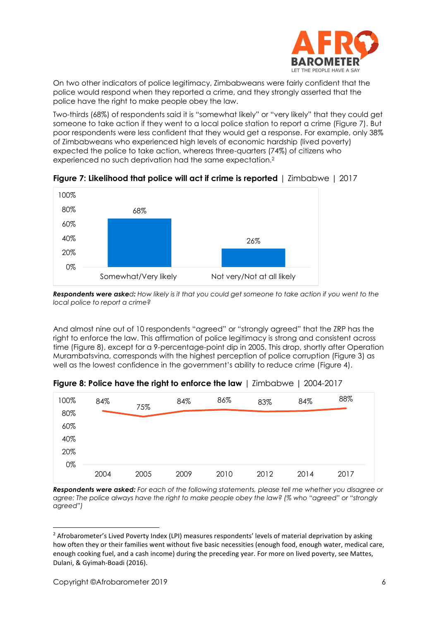

On two other indicators of police legitimacy, Zimbabweans were fairly confident that the police would respond when they reported a crime, and they strongly asserted that the police have the right to make people obey the law.

Two-thirds (68%) of respondents said it is "somewhat likely" or "very likely" that they could get someone to take action if they went to a local police station to report a crime (Figure 7). But poor respondents were less confident that they would get a response. For example, only 38% of Zimbabweans who experienced high levels of economic hardship (lived poverty) expected the police to take action, whereas three-quarters (74%) of citizens who experienced no such deprivation had the same expectation.<sup>2</sup>



**Figure 7: Likelihood that police will act if crime is reported** | Zimbabwe | 2017

*Respondents were asked: How likely is it that you could get someone to take action if you went to the local police to report a crime?*

And almost nine out of 10 respondents "agreed" or "strongly agreed" that the ZRP has the right to enforce the law. This affirmation of police legitimacy is strong and consistent across time (Figure 8), except for a 9-percentage-point dip in 2005. This drop, shortly after Operation Murambatsvina, corresponds with the highest perception of police corruption (Figure 3) as well as the lowest confidence in the government's ability to reduce crime (Figure 4).



**Figure 8: Police have the right to enforce the law** | Zimbabwe | 2004-2017

*Respondents were asked: For each of the following statements, please tell me whether you disagree or agree: The police always have the right to make people obey the law? (% who "agreed" or "strongly agreed")*

<sup>&</sup>lt;sup>2</sup> Afrobarometer's Lived Poverty Index (LPI) measures respondents' levels of material deprivation by asking how often they or their families went without five basic necessities (enough food, enough water, medical care, enough cooking fuel, and a cash income) during the preceding year. For more on lived poverty, see Mattes, Dulani, & Gyimah-Boadi (2016).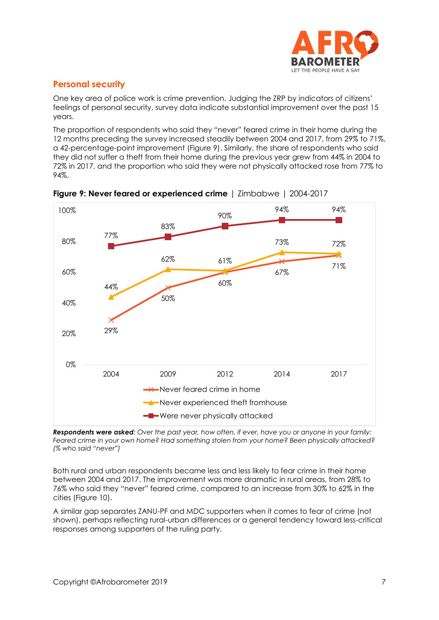

## **Personal security**

One key area of police work is crime prevention. Judging the ZRP by indicators of citizens' feelings of personal security, survey data indicate substantial improvement over the past 15 years.

The proportion of respondents who said they "never" feared crime in their home during the 12 months preceding the survey increased steadily between 2004 and 2017, from 29% to 71%, a 42-percentage-point improvement (Figure 9). Similarly, the share of respondents who said they did not suffer a theft from their home during the previous year grew from 44% in 2004 to 72% in 2017, and the proportion who said they were not physically attacked rose from 77% to 94%.



**Figure 9: Never feared or experienced crime** | Zimbabwe | 2004-2017

*Respondents were asked: Over the past year, how often, if ever, have you or anyone in your family: Feared crime in your own home? Had something stolen from your home? Been physically attacked? (% who said "never")*

Both rural and urban respondents became less and less likely to fear crime in their home between 2004 and 2017. The improvement was more dramatic in rural areas, from 28% to 76% who said they "never" feared crime, compared to an increase from 30% to 62% in the cities (Figure 10).

A similar gap separates ZANU-PF and MDC supporters when it comes to fear of crime (not shown), perhaps reflecting rural-urban differences or a general tendency toward less-critical responses among supporters of the ruling party.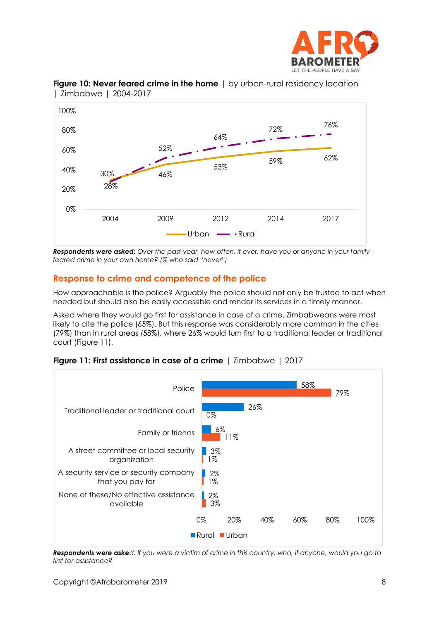



**Figure 10: Never feared crime in the home**  $|$  by urban-rural residency location | Zimbabwe | 2004-2017

*Respondents were asked: Over the past year, how often, if ever, have you or anyone in your family feared crime in your own home? (% who said "never")*

## **Response to crime and competence of the police**

How approachable is the police? Arguably the police should not only be trusted to act when needed but should also be easily accessible and render its services in a timely manner.

Asked where they would go first for assistance in case of a crime, Zimbabweans were most likely to cite the police (65%). But this response was considerably more common in the cities (79%) than in rural areas (58%), where 26% would turn first to a traditional leader or traditional court (Figure 11).





*Respondents were asked: If you were a victim of crime in this country, who, if anyone, would you go to first for assistance?*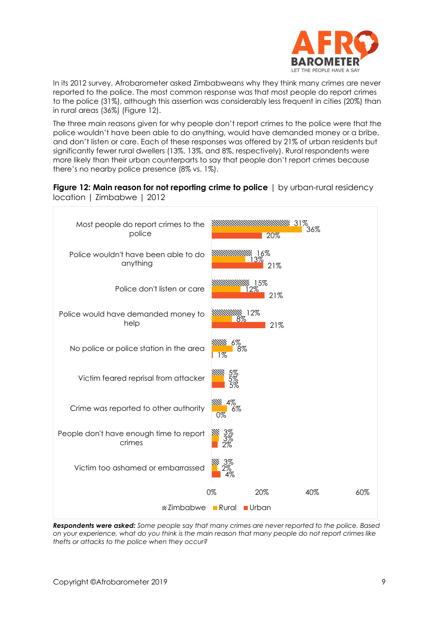

In its 2012 survey, Afrobarometer asked Zimbabweans why they think many crimes are never reported to the police. The most common response was that most people do report crimes to the police (31%), although this assertion was considerably less frequent in cities (20%) than in rural areas (36%) (Figure 12).

The three main reasons given for why people don't report crimes to the police were that the police wouldn't have been able to do anything, would have demanded money or a bribe, and don't listen or care. Each of these responses was offered by 21% of urban residents but significantly fewer rural dwellers (13%, 13%, and 8%, respectively). Rural respondents were more likely than their urban counterparts to say that people don't report crimes because there's no nearby police presence (8% vs. 1%).





*Respondents were asked: Some people say that many crimes are never reported to the police. Based on your experience, what do you think is the main reason that many people do not report crimes like thefts or attacks to the police when they occur?*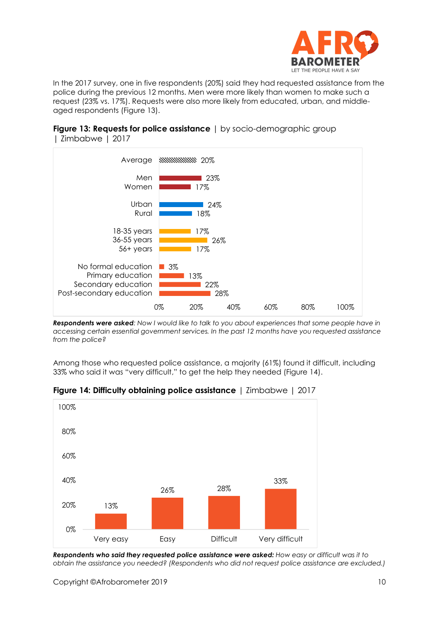

In the 2017 survey, one in five respondents (20%) said they had requested assistance from the police during the previous 12 months. Men were more likely than women to make such a request (23% vs. 17%). Requests were also more likely from educated, urban, and middleaged respondents (Figure 13).

**Figure 13: Requests for police assistance** | by socio-demographic group | Zimbabwe | 2017



*Respondents were asked: Now I would like to talk to you about experiences that some people have in accessing certain essential government services. In the past 12 months have you requested assistance from the police?*

Among those who requested police assistance, a majority (61%) found it difficult, including 33% who said it was "very difficult," to get the help they needed (Figure 14).



**Figure 14: Difficulty obtaining police assistance** | Zimbabwe | 2017

*Respondents who said they requested police assistance were asked: How easy or difficult was it to obtain the assistance you needed? (Respondents who did not request police assistance are excluded.)*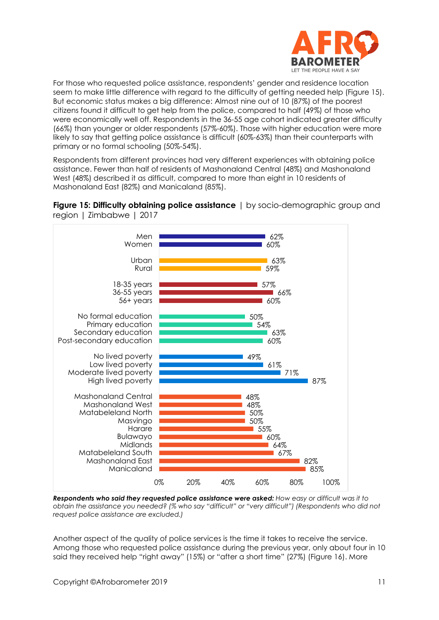

For those who requested police assistance, respondents' gender and residence location seem to make little difference with regard to the difficulty of getting needed help (Figure 15). But economic status makes a big difference: Almost nine out of 10 (87%) of the poorest citizens found it difficult to get help from the police, compared to half (49%) of those who were economically well off. Respondents in the 36-55 age cohort indicated greater difficulty (66%) than younger or older respondents (57%-60%). Those with higher education were more likely to say that getting police assistance is difficult (60%-63%) than their counterparts with primary or no formal schooling (50%-54%).

Respondents from different provinces had very different experiences with obtaining police assistance. Fewer than half of residents of Mashonaland Central (48%) and Mashonaland West (48%) described it as difficult, compared to more than eight in 10 residents of Mashonaland East (82%) and Manicaland (85%).





*Respondents who said they requested police assistance were asked: How easy or difficult was it to obtain the assistance you needed? (% who say "difficult" or "very difficult") (Respondents who did not request police assistance are excluded.)*

Another aspect of the quality of police services is the time it takes to receive the service. Among those who requested police assistance during the previous year, only about four in 10 said they received help "right away" (15%) or "after a short time" (27%) (Figure 16). More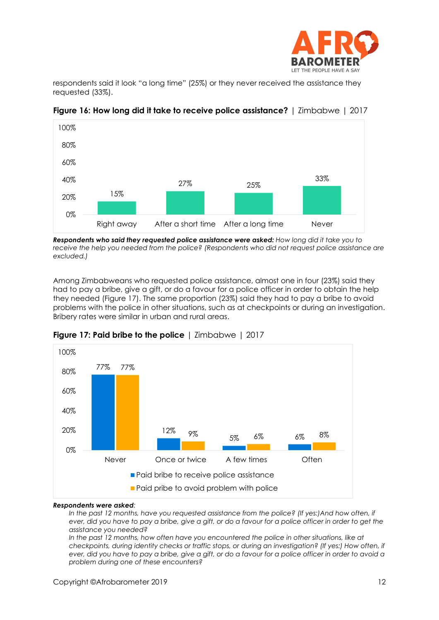

respondents said it look "a long time" (25%) or they never received the assistance they requested (33%).



**Figure 16: How long did it take to receive police assistance?** | Zimbabwe | 2017

*Respondents who said they requested police assistance were asked: How long did it take you to receive the help you needed from the police? (Respondents who did not request police assistance are excluded.)*

Among Zimbabweans who requested police assistance, almost one in four (23%) said they had to pay a bribe, give a gift, or do a favour for a police officer in order to obtain the help they needed (Figure 17). The same proportion (23%) said they had to pay a bribe to avoid problems with the police in other situations, such as at checkpoints or during an investigation. Bribery rates were similar in urban and rural areas.



**Figure 17: Paid bribe to the police** | Zimbabwe | 2017

#### *Respondents were asked:*

*In the past 12 months, have you requested assistance from the police? (If yes:)And how often, if ever, did you have to pay a bribe, give a gift, or do a favour for a police officer in order to get the assistance you needed?*

In the past 12 months, how often have you encountered the police in other situations, like at *checkpoints, during identity checks or traffic stops, or during an investigation? (If yes:) How often, if ever, did you have to pay a bribe, give a gift, or do a favour for a police officer in order to avoid a problem during one of these encounters?*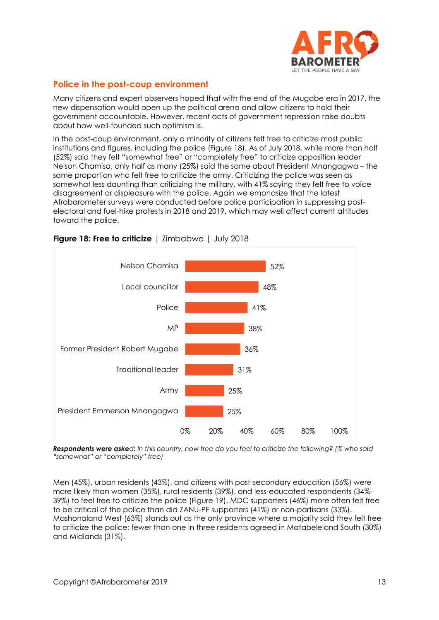

## **Police in the post-coup environment**

Many citizens and expert observers hoped that with the end of the Mugabe era in 2017, the new dispensation would open up the political arena and allow citizens to hold their government accountable. However, recent acts of government repression raise doubts about how well-founded such optimism is.

In the post-coup environment, only a minority of citizens felt free to criticize most public institutions and figures, including the police (Figure 18). As of July 2018, while more than half (52%) said they felt "somewhat free" or "completely free" to criticize opposition leader Nelson Chamisa, only half as many (25%) said the same about President Mnangagwa – the same proportion who felt free to criticize the army. Criticizing the police was seen as somewhat less daunting than criticizing the military, with 41% saying they felt free to voice disagreement or displeasure with the police. Again we emphasize that the latest Afrobarometer surveys were conducted before police participation in suppressing postelectoral and fuel-hike protests in 2018 and 2019, which may well affect current attitudes toward the police.



**Figure 18: Free to criticize** | Zimbabwe | July 2018

*Respondents were asked: In this country, how free do you feel to criticize the following? (% who said "somewhat" or "completely" free)*

Men (45%), urban residents (43%), and citizens with post-secondary education (56%) were more likely than women (35%), rural residents (39%), and less-educated respondents (34%- 39%) to feel free to criticize the police (Figure 19). MDC supporters (46%) more often felt free to be critical of the police than did ZANU-PF supporters (41%) or non-partisans (33%). Mashonaland West (63%) stands out as the only province where a majority said they felt free to criticize the police; fewer than one in three residents agreed in Matabeleland South (30%) and Midlands (31%).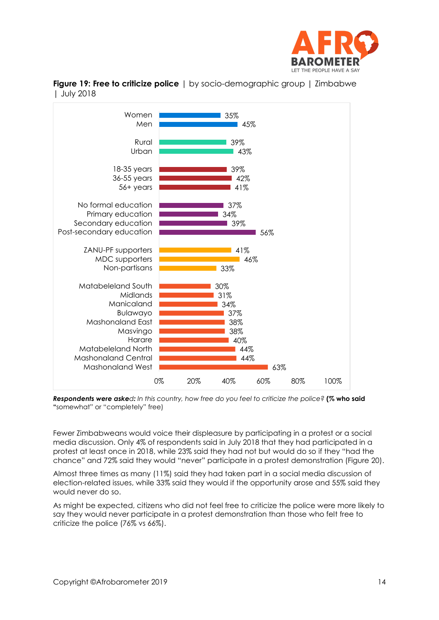



**Figure 19: Free to criticize police** | by socio-demographic group | Zimbabwe | July 2018

*Respondents were asked: In this country, how free do you feel to criticize the police?* **(% who said "**somewhat" or "completely" free)

Fewer Zimbabweans would voice their displeasure by participating in a protest or a social media discussion. Only 4% of respondents said in July 2018 that they had participated in a protest at least once in 2018, while 23% said they had not but would do so if they "had the chance" and 72% said they would "never" participate in a protest demonstration (Figure 20).

Almost three times as many (11%) said they had taken part in a social media discussion of election-related issues, while 33% said they would if the opportunity arose and 55% said they would never do so.

As might be expected, citizens who did not feel free to criticize the police were more likely to say they would never participate in a protest demonstration than those who felt free to criticize the police (76% vs 66%).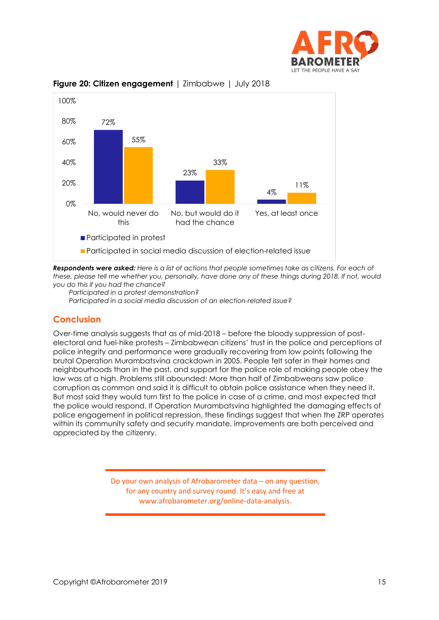



#### **Figure 20: Citizen engagement** | Zimbabwe | July 2018

*Respondents were asked: Here is a list of actions that people sometimes take as citizens. For each of these, please tell me whether you, personally, have done any of these things during 2018. If not, would you do this if you had the chance?*

*Participated in a protest demonstration? Participated in a social media discussion of an election-related issue?*

### **Conclusion**

Over-time analysis suggests that as of mid-2018 – before the bloody suppression of postelectoral and fuel-hike protests – Zimbabwean citizens' trust in the police and perceptions of police integrity and performance were gradually recovering from low points following the brutal Operation Murambatsvina crackdown in 2005. People felt safer in their homes and neighbourhoods than in the past, and support for the police role of making people obey the law was at a high. Problems still abounded: More than half of Zimbabweans saw police corruption as common and said it is difficult to obtain police assistance when they need it. But most said they would turn first to the police in case of a crime, and most expected that the police would respond. If Operation Murambatsvina highlighted the damaging effects of police engagement in political repression, these findings suggest that when the ZRP operates within its community safety and security mandate, improvements are both perceived and appreciated by the citizenry.

> Do your own analysis of Afrobarometer data – on any question, for any country and survey round. It's easy and free at www.afrobarometer.org/online-data-analysis.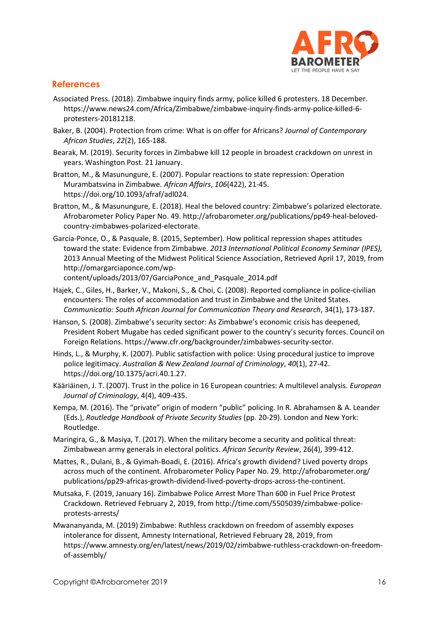

## **References**

- Associated Press. (2018). Zimbabwe inquiry finds army, police killed 6 protesters. 18 December. https://www.news24.com/Africa/Zimbabwe/zimbabwe-inquiry-finds-army-police-killed-6 protesters-20181218.
- Baker, B. (2004). Protection from crime: What is on offer for Africans? *Journal of Contemporary African Studies*, *22*(2), 165-188.
- Bearak, M. (2019). Security forces in Zimbabwe kill 12 people in broadest crackdown on unrest in years. Washington Post. 21 January.
- Bratton, M., & Masunungure, E. (2007). Popular reactions to state repression: Operation Murambatsvina in Zimbabwe. *African Affairs*, *106*(422), 21-45. [https://doi.org/10.1093/afraf/adl024.](https://doi.org/10.1093/afraf/adl024)
- Bratton, M., & Masunungure, E. (2018). Heal the beloved country: Zimbabwe's polarized electorate. Afrobarometer Policy Paper No. 49. [http://afrobarometer.org/p](http://afrobarometer.org/)ublications/pp49-heal-belovedcountry-zimbabwes-polarized-electorate.
- García-Ponce, O., & Pasquale, B. (2015, September). How political repression shapes attitudes toward the state: Evidence from Zimbabwe. *2013 International Political Economy Seminar (IPES),*  2013 Annual Meeting of the Midwest Political Science Association, Retrieved April 17, 2019, from http://omargarciaponce.com/wp-

content/uploads/2013/07/GarciaPonce\_and\_Pasquale\_2014.pdf

- Hajek, C., Giles, H., Barker, V., Makoni, S., & Choi, C. (2008). Reported compliance in police-civilian encounters: The roles of accommodation and trust in Zimbabwe and the United States. *Communicatio: South African Journal for Communication Theory and Research*, 34(1), 173-187.
- Hanson, S. (2008). Zimbabwe's security sector: As Zimbabwe's economic crisis has deepened, President Robert Mugabe has ceded significant power to the country's security forces. Council on Foreign Relations. https://www.cfr.org/backgrounder/zimbabwes-security-sector.
- Hinds, L., & Murphy, K. (2007). Public satisfaction with police: Using procedural justice to improve police legitimacy. *Australian & New Zealand Journal of Criminology*, *40*(1), 27-42. https://doi.org/10.1375/acri.40.1.27.
- Kääriäinen, J. T. (2007). Trust in the police in 16 European countries: A multilevel analysis. *European Journal of Criminology*, 4(4), 409-435.
- Kempa, M. (2016). The "private" origin of modern "public" policing. In R. Abrahamsen & A. Leander (Eds.), *Routledge Handbook of Private Security Studies* (pp. 20-29). London and New York: Routledge.
- Maringira, G., & Masiya, T. (2017). When the military become a security and political threat: Zimbabwean army generals in electoral politics. *African Security Review*, 26(4), 399-412.
- Mattes, R., Dulani, B., & Gyimah-Boadi, E. (2016). Africa's growth dividend? Lived poverty drops across much of the continent. Afrobarometer Policy Paper No. 29. http://afrobarometer.org/ publications/pp29-africas-growth-dividend-lived-poverty-drops-across-the-continent.
- Mutsaka, F. (2019, January 16). Zimbabwe Police Arrest More Than 600 in Fuel Price Protest Crackdown. Retrieved February 2, 2019, from http://time.com/5505039/zimbabwe-policeprotests-arrests/
- Mwananyanda, M. (2019) Zimbabwe: Ruthless crackdown on freedom of assembly exposes intolerance for dissent, Amnesty International, Retrieved February 28, 2019, from https://www.amnesty.org/en/latest/news/2019/02/zimbabwe-ruthless-crackdown-on-freedomof-assembly/